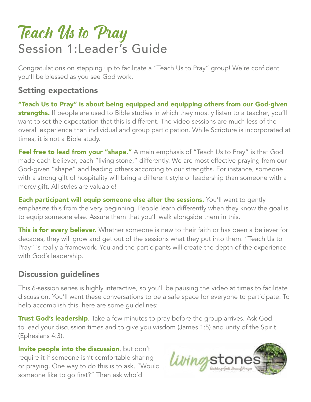# Teach Us to Pray Session 1:Leader's Guide

Congratulations on stepping up to facilitate a "Teach Us to Pray" group! We're confident you'll be blessed as you see God work.

#### Setting expectations

"Teach Us to Pray" is about being equipped and equipping others from our God-given strengths. If people are used to Bible studies in which they mostly listen to a teacher, you'll want to set the expectation that this is different. The video sessions are much less of the overall experience than individual and group participation. While Scripture is incorporated at times, it is not a Bible study.

Feel free to lead from your "shape." A main emphasis of "Teach Us to Pray" is that God made each believer, each "living stone," differently. We are most effective praying from our God-given "shape" and leading others according to our strengths. For instance, someone with a strong gift of hospitality will bring a different style of leadership than someone with a mercy gift. All styles are valuable!

**Each participant will equip someone else after the sessions.** You'll want to gently emphasize this from the very beginning. People learn differently when they know the goal is to equip someone else. Assure them that you'll walk alongside them in this.

This is for every believer. Whether someone is new to their faith or has been a believer for decades, they will grow and get out of the sessions what they put into them. "Teach Us to Pray" is really a framework. You and the participants will create the depth of the experience with God's leadership.

#### Discussion guidelines

This 6-session series is highly interactive, so you'll be pausing the video at times to facilitate discussion. You'll want these conversations to be a safe space for everyone to participate. To help accomplish this, here are some guidelines:

Trust God's leadership. Take a few minutes to pray before the group arrives. Ask God to lead your discussion times and to give you wisdom (James 1:5) and unity of the Spirit (Ephesians 4:3).

Invite people into the discussion, but don't require it if someone isn't comfortable sharing or praying. One way to do this is to ask, "Would someone like to go first?" Then ask who'd

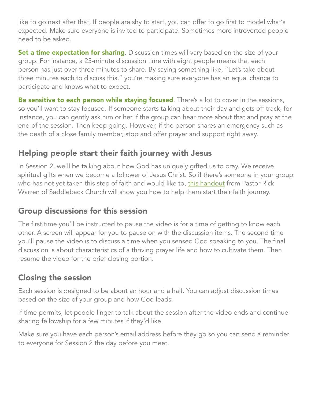like to go next after that. If people are shy to start, you can offer to go first to model what's expected. Make sure everyone is invited to participate. Sometimes more introverted people need to be asked.

**Set a time expectation for sharing**. Discussion times will vary based on the size of your group. For instance, a 25-minute discussion time with eight people means that each person has just over three minutes to share. By saying something like, "Let's take about three minutes each to discuss this," you're making sure everyone has an equal chance to participate and knows what to expect.

Be sensitive to each person while staying focused. There's a lot to cover in the sessions, so you'll want to stay focused. If someone starts talking about their day and gets off track, for instance, you can gently ask him or her if the group can hear more about that and pray at the end of the session. Then keep going. However, if the person shares an emergency such as the death of a close family member, stop and offer prayer and support right away.

## Helping people start their faith journey with Jesus

In Session 2, we'll be talking about how God has uniquely gifted us to pray. We receive spiritual gifts when we become a follower of Jesus Christ. So if there's someone in your group who has not yet taken this step of faith and would like to, [this handout](https://pastorrick.com/wp-content/uploads/2017/07/click-here-for-the-answer.pdf) from Pastor Rick Warren of Saddleback Church will show you how to help them start their faith journey.

## Group discussions for this session

The first time you'll be instructed to pause the video is for a time of getting to know each other. A screen will appear for you to pause on with the discussion items. The second time you'll pause the video is to discuss a time when you sensed God speaking to you. The final discussion is about characteristics of a thriving prayer life and how to cultivate them. Then resume the video for the brief closing portion.

## Closing the session

Each session is designed to be about an hour and a half. You can adjust discussion times based on the size of your group and how God leads.

If time permits, let people linger to talk about the session after the video ends and continue sharing fellowship for a few minutes if they'd like.

Make sure you have each person's email address before they go so you can send a reminder to everyone for Session 2 the day before you meet.